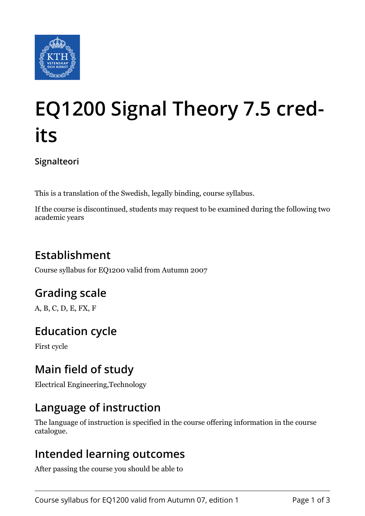

# **EQ1200 Signal Theory 7.5 credits**

**Signalteori**

This is a translation of the Swedish, legally binding, course syllabus.

If the course is discontinued, students may request to be examined during the following two academic years

# **Establishment**

Course syllabus for EQ1200 valid from Autumn 2007

# **Grading scale**

A, B, C, D, E, FX, F

## **Education cycle**

First cycle

## **Main field of study**

Electrical Engineering,Technology

### **Language of instruction**

The language of instruction is specified in the course offering information in the course catalogue.

#### **Intended learning outcomes**

After passing the course you should be able to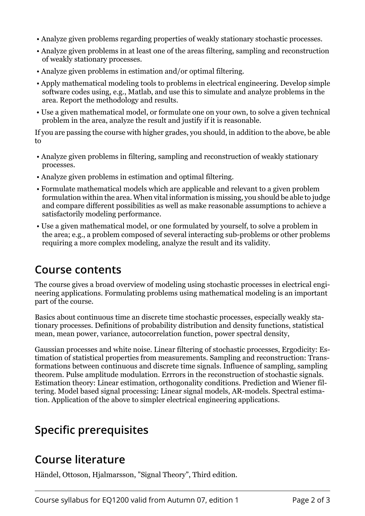- Analyze given problems regarding properties of weakly stationary stochastic processes.
- Analyze given problems in at least one of the areas filtering, sampling and reconstruction of weakly stationary processes.
- Analyze given problems in estimation and/or optimal filtering.
- Apply mathematical modeling tools to problems in electrical engineering. Develop simple software codes using, e.g., Matlab, and use this to simulate and analyze problems in the area. Report the methodology and results.
- Use a given mathematical model, or formulate one on your own, to solve a given technical problem in the area, analyze the result and justify if it is reasonable.

If you are passing the course with higher grades, you should, in addition to the above, be able to

- Analyze given problems in filtering, sampling and reconstruction of weakly stationary processes.
- Analyze given problems in estimation and optimal filtering.
- Formulate mathematical models which are applicable and relevant to a given problem formulation within the area. When vital information is missing, you should be able to judge and compare different possibilities as well as make reasonable assumptions to achieve a satisfactorily modeling performance.
- Use a given mathematical model, or one formulated by yourself, to solve a problem in the area; e.g., a problem composed of several interacting sub-problems or other problems requiring a more complex modeling, analyze the result and its validity.

#### **Course contents**

The course gives a broad overview of modeling using stochastic processes in electrical engineering applications. Formulating problems using mathematical modeling is an important part of the course.

Basics about continuous time an discrete time stochastic processes, especially weakly stationary processes. Definitions of probability distribution and density functions, statistical mean, mean power, variance, autocorrelation function, power spectral density,

Gaussian processes and white noise. Linear filtering of stochastic processes, Ergodicity: Estimation of statistical properties from measurements. Sampling and reconstruction: Transformations between continuous and discrete time signals. Influence of sampling, sampling theorem. Pulse amplitude modulation. Errrors in the reconstruction of stochastic signals. Estimation theory: Linear estimation, orthogonality conditions. Prediction and Wiener filtering. Model based signal processing: Linear signal models, AR-models. Spectral estimation. Application of the above to simpler electrical engineering applications.

# **Specific prerequisites**

#### **Course literature**

Händel, Ottoson, Hjalmarsson, "Signal Theory", Third edition.